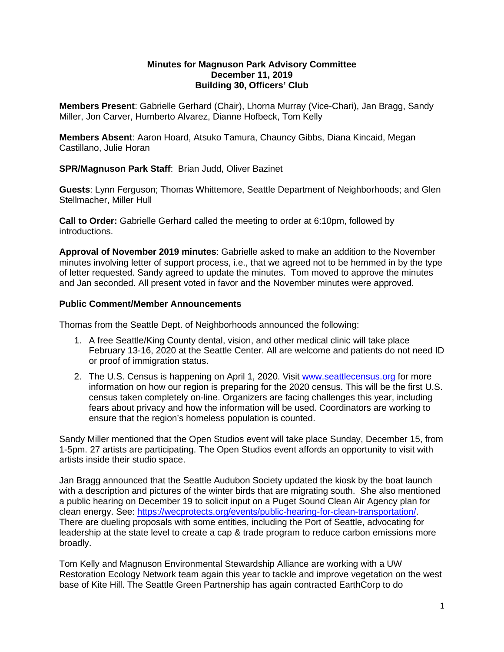#### **Minutes for Magnuson Park Advisory Committee December 11, 2019 Building 30, Officers' Club**

**Members Present**: Gabrielle Gerhard (Chair), Lhorna Murray (Vice-Chari), Jan Bragg, Sandy Miller, Jon Carver, Humberto Alvarez, Dianne Hofbeck, Tom Kelly

**Members Absent**: Aaron Hoard, Atsuko Tamura, Chauncy Gibbs, Diana Kincaid, Megan Castillano, Julie Horan

## **SPR/Magnuson Park Staff**: Brian Judd, Oliver Bazinet

**Guests**: Lynn Ferguson; Thomas Whittemore, Seattle Department of Neighborhoods; and Glen Stellmacher, Miller Hull

**Call to Order:** Gabrielle Gerhard called the meeting to order at 6:10pm, followed by introductions.

**Approval of November 2019 minutes**: Gabrielle asked to make an addition to the November minutes involving letter of support process, i.e., that we agreed not to be hemmed in by the type of letter requested. Sandy agreed to update the minutes. Tom moved to approve the minutes and Jan seconded. All present voted in favor and the November minutes were approved.

#### **Public Comment/Member Announcements**

Thomas from the Seattle Dept. of Neighborhoods announced the following:

- 1. A free Seattle/King County dental, vision, and other medical clinic will take place February 13-16, 2020 at the Seattle Center. All are welcome and patients do not need ID or proof of immigration status.
- 2. The U.S. Census is happening on April 1, 2020. Visit [www.seattlecensus.org](http://www.seattlecensus.org/) for more information on how our region is preparing for the 2020 census. This will be the first U.S. census taken completely on-line. Organizers are facing challenges this year, including fears about privacy and how the information will be used. Coordinators are working to ensure that the region's homeless population is counted.

Sandy Miller mentioned that the Open Studios event will take place Sunday, December 15, from 1-5pm. 27 artists are participating. The Open Studios event affords an opportunity to visit with artists inside their studio space.

Jan Bragg announced that the Seattle Audubon Society updated the kiosk by the boat launch with a description and pictures of the winter birds that are migrating south. She also mentioned a public hearing on December 19 to solicit input on a Puget Sound Clean Air Agency plan for clean energy. See: [https://wecprotects.org/events/public-hearing-for-clean-transportation/.](https://wecprotects.org/events/public-hearing-for-clean-transportation/) There are dueling proposals with some entities, including the Port of Seattle, advocating for leadership at the state level to create a cap & trade program to reduce carbon emissions more broadly.

Tom Kelly and Magnuson Environmental Stewardship Alliance are working with a UW Restoration Ecology Network team again this year to tackle and improve vegetation on the west base of Kite Hill. The Seattle Green Partnership has again contracted EarthCorp to do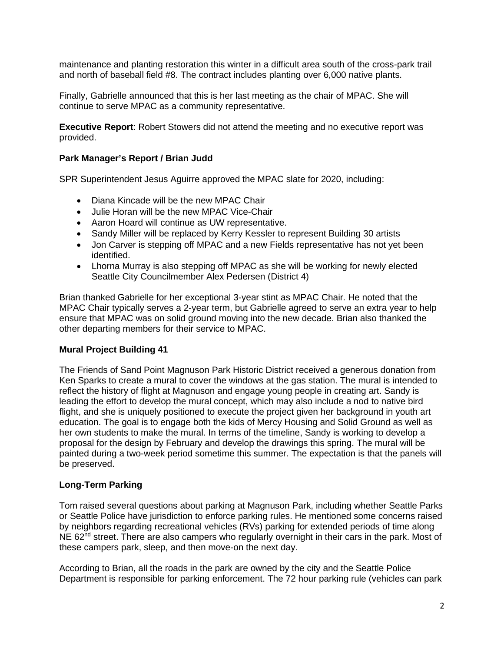maintenance and planting restoration this winter in a difficult area south of the cross-park trail and north of baseball field #8. The contract includes planting over 6,000 native plants.

Finally, Gabrielle announced that this is her last meeting as the chair of MPAC. She will continue to serve MPAC as a community representative.

**Executive Report**: Robert Stowers did not attend the meeting and no executive report was provided.

## **Park Manager's Report / Brian Judd**

SPR Superintendent Jesus Aguirre approved the MPAC slate for 2020, including:

- Diana Kincade will be the new MPAC Chair
- Julie Horan will be the new MPAC Vice-Chair
- Aaron Hoard will continue as UW representative.
- Sandy Miller will be replaced by Kerry Kessler to represent Building 30 artists
- Jon Carver is stepping off MPAC and a new Fields representative has not yet been identified.
- Lhorna Murray is also stepping off MPAC as she will be working for newly elected Seattle City Councilmember Alex Pedersen (District 4)

Brian thanked Gabrielle for her exceptional 3-year stint as MPAC Chair. He noted that the MPAC Chair typically serves a 2-year term, but Gabrielle agreed to serve an extra year to help ensure that MPAC was on solid ground moving into the new decade. Brian also thanked the other departing members for their service to MPAC.

## **Mural Project Building 41**

The Friends of Sand Point Magnuson Park Historic District received a generous donation from Ken Sparks to create a mural to cover the windows at the gas station. The mural is intended to reflect the history of flight at Magnuson and engage young people in creating art. Sandy is leading the effort to develop the mural concept, which may also include a nod to native bird flight, and she is uniquely positioned to execute the project given her background in youth art education. The goal is to engage both the kids of Mercy Housing and Solid Ground as well as her own students to make the mural. In terms of the timeline, Sandy is working to develop a proposal for the design by February and develop the drawings this spring. The mural will be painted during a two-week period sometime this summer. The expectation is that the panels will be preserved.

## **Long-Term Parking**

Tom raised several questions about parking at Magnuson Park, including whether Seattle Parks or Seattle Police have jurisdiction to enforce parking rules. He mentioned some concerns raised by neighbors regarding recreational vehicles (RVs) parking for extended periods of time along NE 62<sup>nd</sup> street. There are also campers who regularly overnight in their cars in the park. Most of these campers park, sleep, and then move-on the next day.

According to Brian, all the roads in the park are owned by the city and the Seattle Police Department is responsible for parking enforcement. The 72 hour parking rule (vehicles can park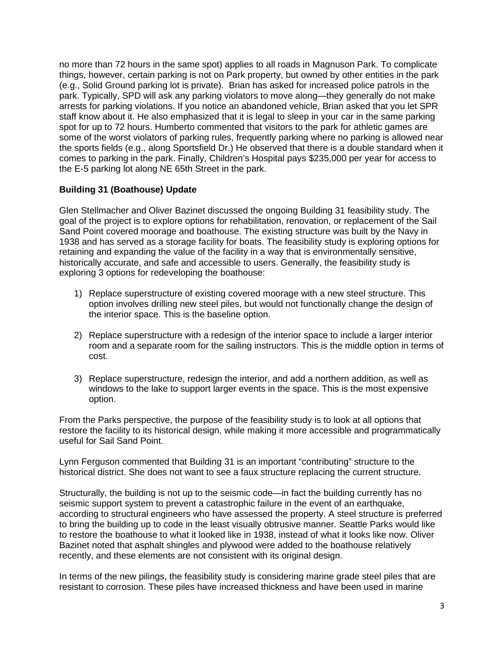no more than 72 hours in the same spot) applies to all roads in Magnuson Park. To complicate things, however, certain parking is not on Park property, but owned by other entities in the park (e.g., Solid Ground parking lot is private). Brian has asked for increased police patrols in the park. Typically, SPD will ask any parking violators to move along—they generally do not make arrests for parking violations. If you notice an abandoned vehicle, Brian asked that you let SPR staff know about it. He also emphasized that it is legal to sleep in your car in the same parking spot for up to 72 hours. Humberto commented that visitors to the park for athletic games are some of the worst violators of parking rules, frequently parking where no parking is allowed near the sports fields (e.g., along Sportsfield Dr.) He observed that there is a double standard when it comes to parking in the park. Finally, Children's Hospital pays \$235,000 per year for access to the E-5 parking lot along NE 65th Street in the park.

# **Building 31 (Boathouse) Update**

Glen Stellmacher and Oliver Bazinet discussed the ongoing Building 31 feasibility study. The goal of the project is to explore options for rehabilitation, renovation, or replacement of the Sail Sand Point covered moorage and boathouse. The existing structure was built by the Navy in 1938 and has served as a storage facility for boats. The feasibility study is exploring options for retaining and expanding the value of the facility in a way that is environmentally sensitive, historically accurate, and safe and accessible to users. Generally, the feasibility study is exploring 3 options for redeveloping the boathouse:

- 1) Replace superstructure of existing covered moorage with a new steel structure. This option involves drilling new steel piles, but would not functionally change the design of the interior space. This is the baseline option.
- 2) Replace superstructure with a redesign of the interior space to include a larger interior room and a separate room for the sailing instructors. This is the middle option in terms of cost.
- 3) Replace superstructure, redesign the interior, and add a northern addition, as well as windows to the lake to support larger events in the space. This is the most expensive option.

From the Parks perspective, the purpose of the feasibility study is to look at all options that restore the facility to its historical design, while making it more accessible and programmatically useful for Sail Sand Point.

Lynn Ferguson commented that Building 31 is an important "contributing" structure to the historical district. She does not want to see a faux structure replacing the current structure.

Structurally, the building is not up to the seismic code—in fact the building currently has no seismic support system to prevent a catastrophic failure in the event of an earthquake, according to structural engineers who have assessed the property. A steel structure is preferred to bring the building up to code in the least visually obtrusive manner. Seattle Parks would like to restore the boathouse to what it looked like in 1938, instead of what it looks like now. Oliver Bazinet noted that asphalt shingles and plywood were added to the boathouse relatively recently, and these elements are not consistent with its original design.

In terms of the new pilings, the feasibility study is considering marine grade steel piles that are resistant to corrosion. These piles have increased thickness and have been used in marine